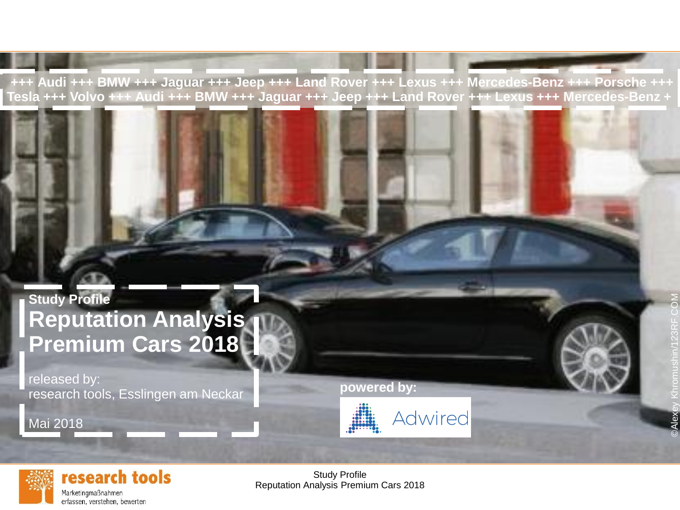**+++ Audi +++ BMW +++ Jaguar +++ Jeep +++ Land Rover +++ Lexus +++ Mercedes-Benz +++ Porsche +++** Tesla +++ Volvo +++ Audi +++ BMW +++ Jaguar +++ Jeep +++ Land Rover +++ Lexus +++ Mercedes-Benz +

## **Study Profile Reputation Analysis Premium Cars 2018**

released by: research tools, Esslingen am Neckar

Mai 2018

**powered by:**





research tools Marketingmaßnahmen

erfassen, verstehen, bewerten

Study Profile Reputation Analysis Premium Cars 2018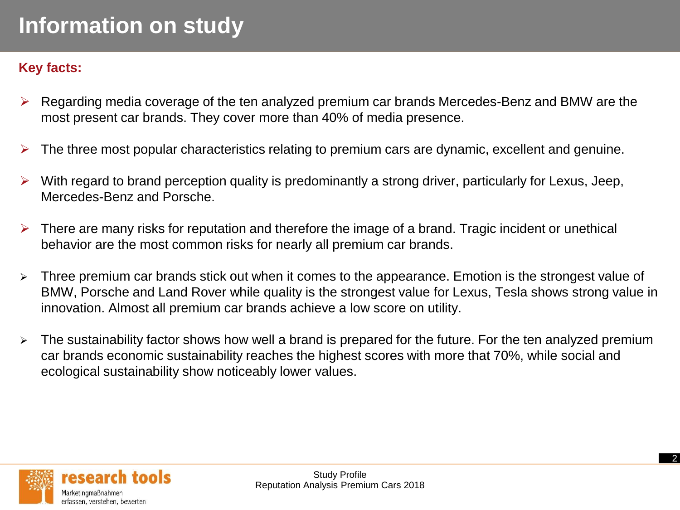### **Key facts:**

- ➢ Regarding media coverage of the ten analyzed premium car brands Mercedes-Benz and BMW are the most present car brands. They cover more than 40% of media presence.
- $\triangleright$  The three most popular characteristics relating to premium cars are dynamic, excellent and genuine.
- With regard to brand perception quality is predominantly a strong driver, particularly for Lexus, Jeep, Mercedes-Benz and Porsche.
- $\triangleright$  There are many risks for reputation and therefore the image of a brand. Tragic incident or unethical behavior are the most common risks for nearly all premium car brands.
- ➢ Three premium car brands stick out when it comes to the appearance. Emotion is the strongest value of BMW, Porsche and Land Rover while quality is the strongest value for Lexus, Tesla shows strong value in innovation. Almost all premium car brands achieve a low score on utility.
- ➢ The sustainability factor shows how well a brand is prepared for the future. For the ten analyzed premium car brands economic sustainability reaches the highest scores with more that 70%, while social and ecological sustainability show noticeably lower values.

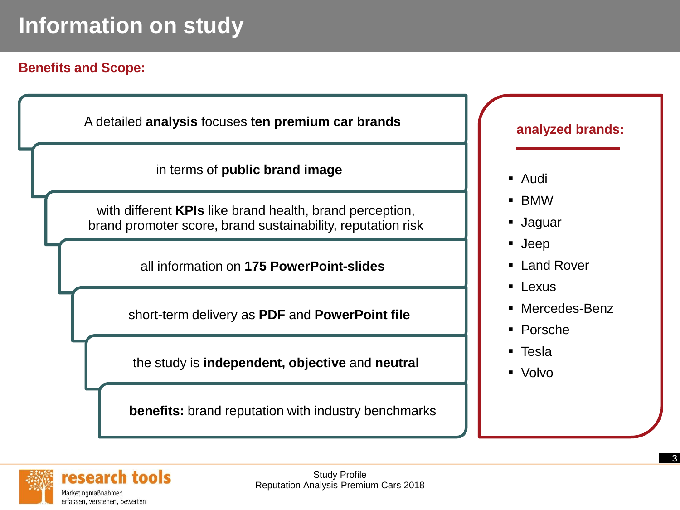### **Benefits and Scope:**

A detailed **analysis** focuses **ten premium car brands**

in terms of **public brand image**

with different **KPIs** like brand health, brand perception, brand promoter score, brand sustainability, reputation risk

all information on **175 PowerPoint-slides** 

short-term delivery as **PDF** and **PowerPoint file**

the study is **independent, objective** and **neutral**

**benefits:** brand reputation with industry benchmarks

#### **analyzed brands:**

- Audi
- BMW
- Jaguar
- Jeep
- Land Rover
- Lexus
- Mercedes-Benz
- Porsche
- Tesla
- Volvo

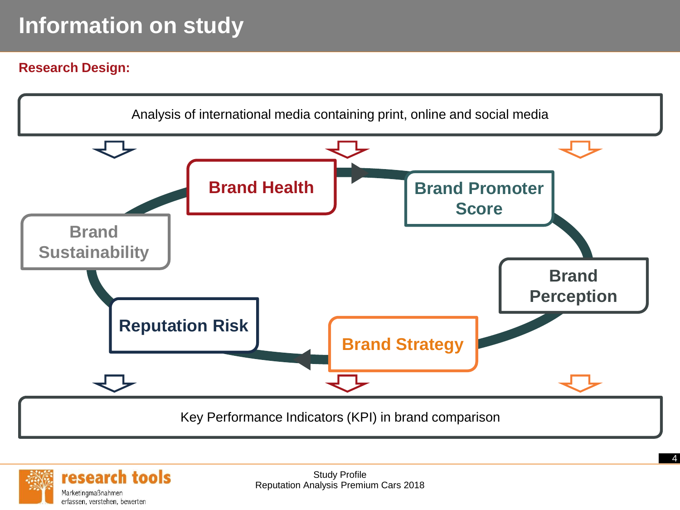### **Research Design:**



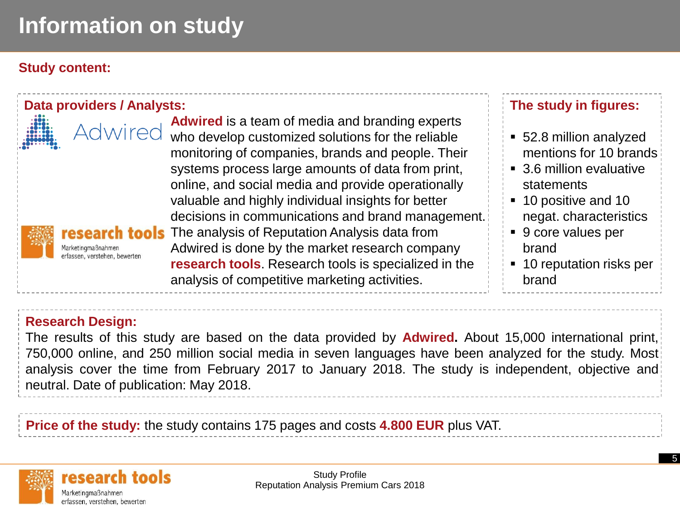### **Study content:**



### **Research Design:**

The results of this study are based on the data provided by **Adwired.** About 15,000 international print, 750,000 online, and 250 million social media in seven languages have been analyzed for the study. Most analysis cover the time from February 2017 to January 2018. The study is independent, objective and neutral. Date of publication: May 2018.

**Price of the study:** the study contains 175 pages and costs **4.800 EUR** plus VAT.

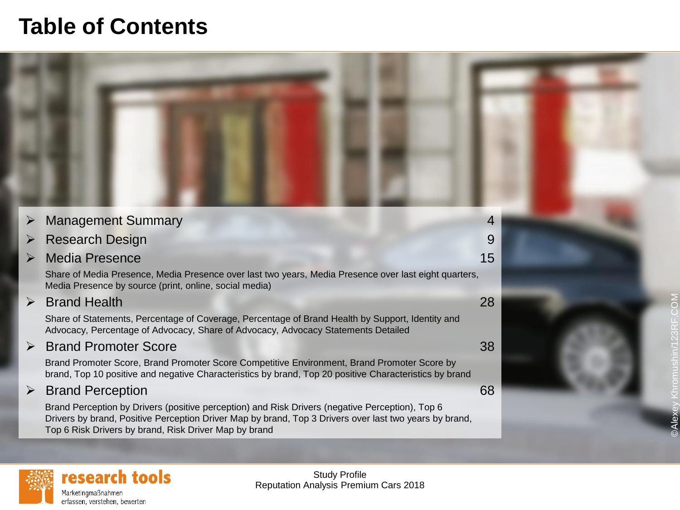## **Table of Contents**



©Alexey Khromushin/123RF.COM

 $\overline{5}$ 

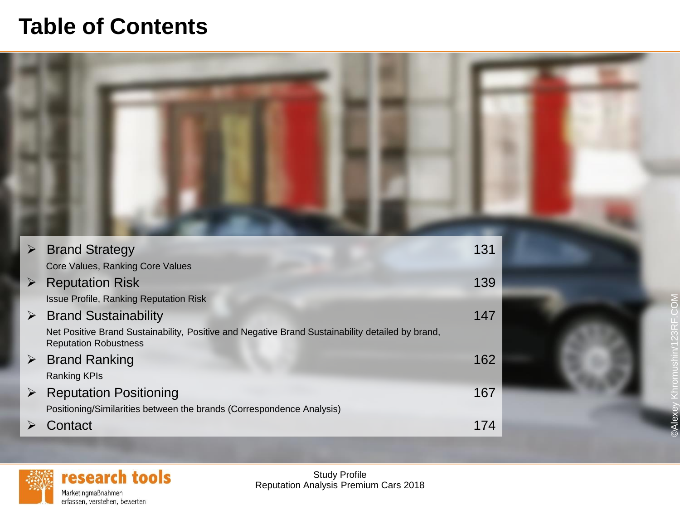## **Table of Contents**



|                       | <b>Brand Strategy</b>                                                                                                            | 131 |
|-----------------------|----------------------------------------------------------------------------------------------------------------------------------|-----|
|                       | Core Values, Ranking Core Values                                                                                                 |     |
|                       | <b>Reputation Risk</b>                                                                                                           | 139 |
|                       | <b>Issue Profile, Ranking Reputation Risk</b>                                                                                    |     |
|                       | <b>Brand Sustainability</b>                                                                                                      | 147 |
|                       | Net Positive Brand Sustainability, Positive and Negative Brand Sustainability detailed by brand,<br><b>Reputation Robustness</b> |     |
| $\blacktriangleright$ | <b>Brand Ranking</b>                                                                                                             | 162 |
|                       | <b>Ranking KPIs</b>                                                                                                              |     |
|                       | <b>Reputation Positioning</b>                                                                                                    | 167 |
|                       | Positioning/Similarities between the brands (Correspondence Analysis)                                                            |     |
|                       | Contact                                                                                                                          | 174 |



Study Profile Reputation Analysis Premium Cars 2018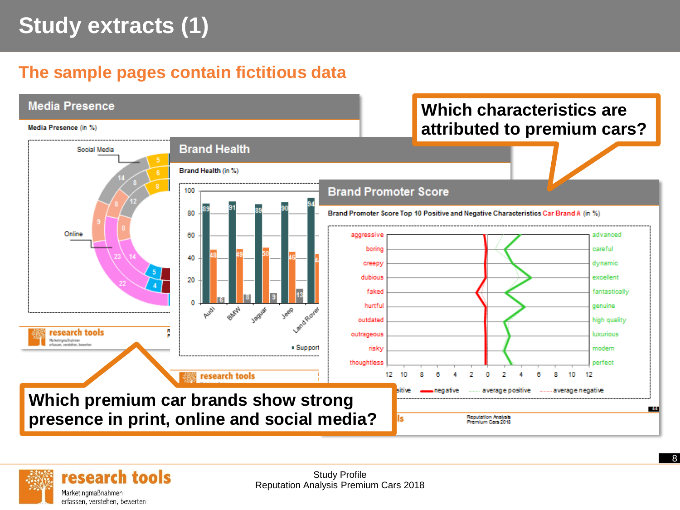# **Study extracts (1)**

## **The sample pages contain fictitious data**





Study Profile Reputation Analysis Premium Cars 2018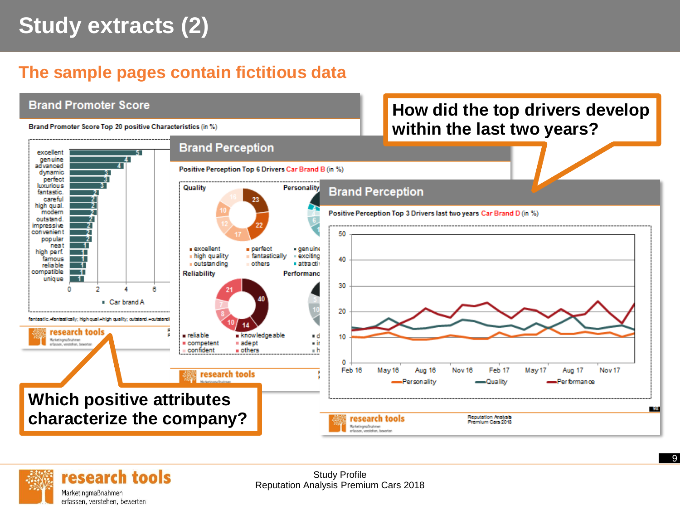# **Study extracts (2)**

## **The sample pages contain fictitious data**





Study Profile Reputation Analysis Premium Cars 2018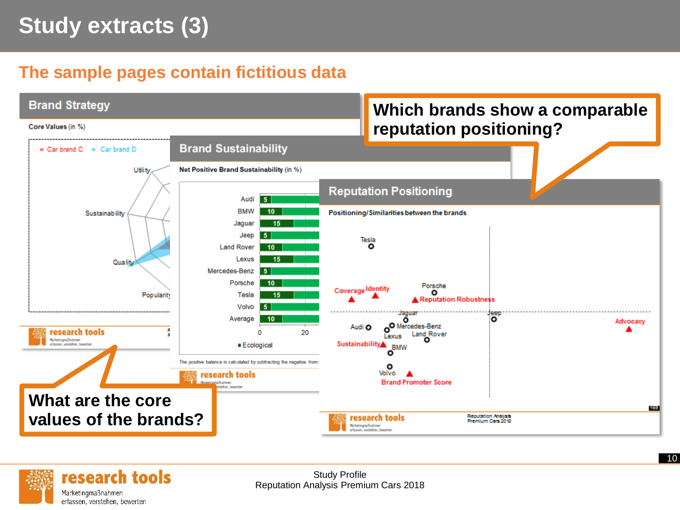# **Study extracts (3)**

### **The sample pages contain fictitious data**





Study Profile Reputation Analysis Premium Cars 2018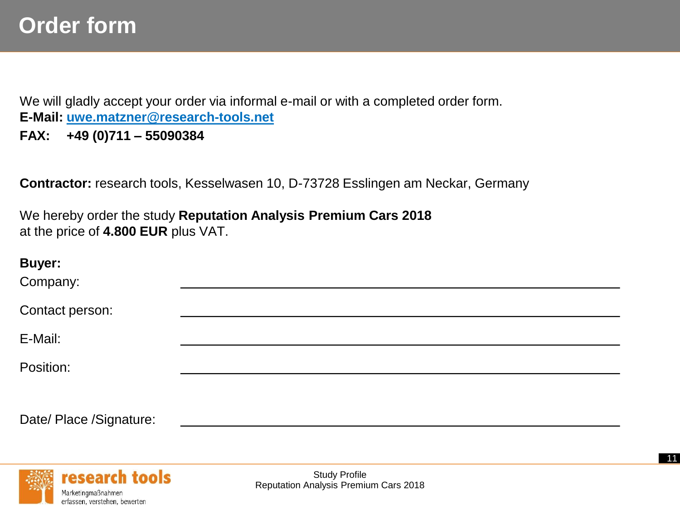# **Order form**

We will gladly accept your order via informal e-mail or with a completed order form. **E-Mail: [uwe.matzner@research-tools.net](mailto:uwe.matzner@research-tools.net)**

**FAX: +49 (0)711 – 55090384**

**Contractor:** research tools, Kesselwasen 10, D-73728 Esslingen am Neckar, Germany

We hereby order the study **Reputation Analysis Premium Cars 2018**  at the price of **4.800 EUR** plus VAT.

| <b>Buyer:</b><br>Company: |  |  |  |
|---------------------------|--|--|--|
| Contact person:           |  |  |  |
| E-Mail:                   |  |  |  |
| Position:                 |  |  |  |
|                           |  |  |  |

Date/ Place /Signature:



Study Profile Reputation Analysis Premium Cars 2018